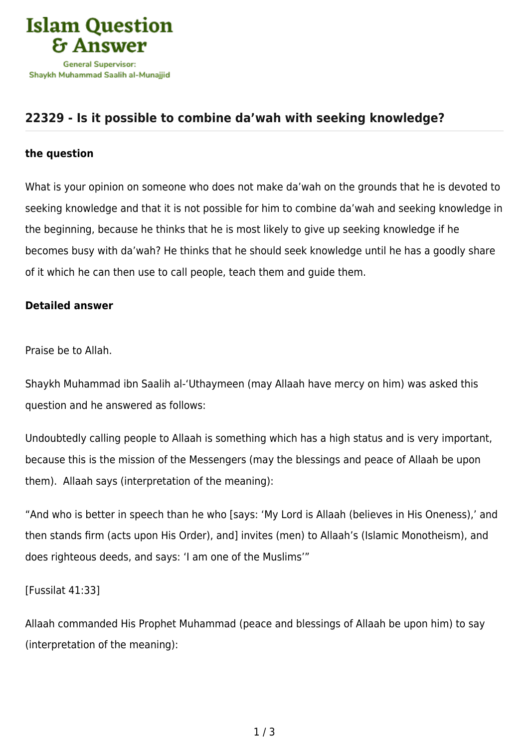

## **[22329 - Is it possible to combine da'wah with seeking knowledge?](https://islamqa.info/en/answers/22329/is-it-possible-to-combine-dawah-with-seeking-knowledge)**

## **the question**

What is your opinion on someone who does not make da'wah on the grounds that he is devoted to seeking knowledge and that it is not possible for him to combine da'wah and seeking knowledge in the beginning, because he thinks that he is most likely to give up seeking knowledge if he becomes busy with da'wah? He thinks that he should seek knowledge until he has a goodly share of it which he can then use to call people, teach them and guide them.

## **Detailed answer**

Praise be to Allah.

Shaykh Muhammad ibn Saalih al-'Uthaymeen (may Allaah have mercy on him) was asked this question and he answered as follows:

Undoubtedly calling people to Allaah is something which has a high status and is very important, because this is the mission of the Messengers (may the blessings and peace of Allaah be upon them). Allaah says (interpretation of the meaning):

"And who is better in speech than he who [says: 'My Lord is Allaah (believes in His Oneness),' and then stands firm (acts upon His Order), and] invites (men) to Allaah's (Islamic Monotheism), and does righteous deeds, and says: 'I am one of the Muslims'"

[Fussilat 41:33]

Allaah commanded His Prophet Muhammad (peace and blessings of Allaah be upon him) to say (interpretation of the meaning):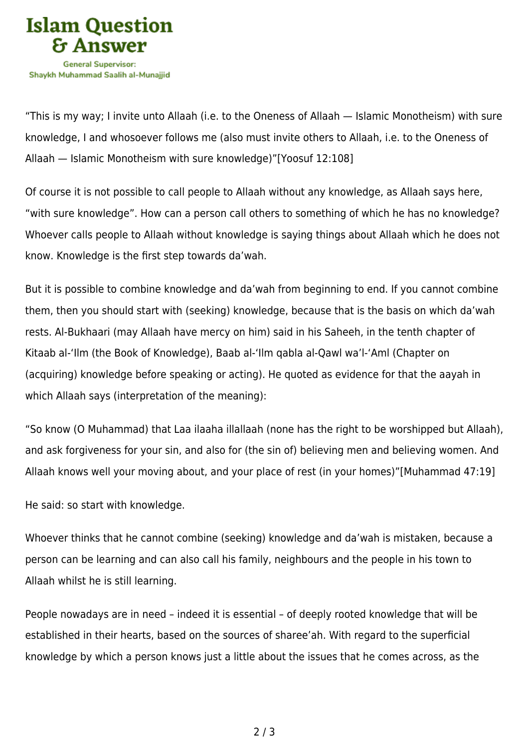

"This is my way; I invite unto Allaah (i.e. to the Oneness of Allaah — Islamic Monotheism) with sure knowledge, I and whosoever follows me (also must invite others to Allaah, i.e. to the Oneness of Allaah — Islamic Monotheism with sure knowledge)"[Yoosuf 12:108]

Of course it is not possible to call people to Allaah without any knowledge, as Allaah says here, "with sure knowledge". How can a person call others to something of which he has no knowledge? Whoever calls people to Allaah without knowledge is saying things about Allaah which he does not know. Knowledge is the first step towards da'wah.

But it is possible to combine knowledge and da'wah from beginning to end. If you cannot combine them, then you should start with (seeking) knowledge, because that is the basis on which da'wah rests. Al-Bukhaari (may Allaah have mercy on him) said in his Saheeh, in the tenth chapter of Kitaab al-'Ilm (the Book of Knowledge), Baab al-'Ilm qabla al-Qawl wa'l-'Aml (Chapter on (acquiring) knowledge before speaking or acting). He quoted as evidence for that the aayah in which Allaah says (interpretation of the meaning):

"So know (O Muhammad) that Laa ilaaha illallaah (none has the right to be worshipped but Allaah), and ask forgiveness for your sin, and also for (the sin of) believing men and believing women. And Allaah knows well your moving about, and your place of rest (in your homes)"[Muhammad 47:19]

He said: so start with knowledge.

Whoever thinks that he cannot combine (seeking) knowledge and da'wah is mistaken, because a person can be learning and can also call his family, neighbours and the people in his town to Allaah whilst he is still learning.

People nowadays are in need – indeed it is essential – of deeply rooted knowledge that will be established in their hearts, based on the sources of sharee'ah. With regard to the superficial knowledge by which a person knows just a little about the issues that he comes across, as the